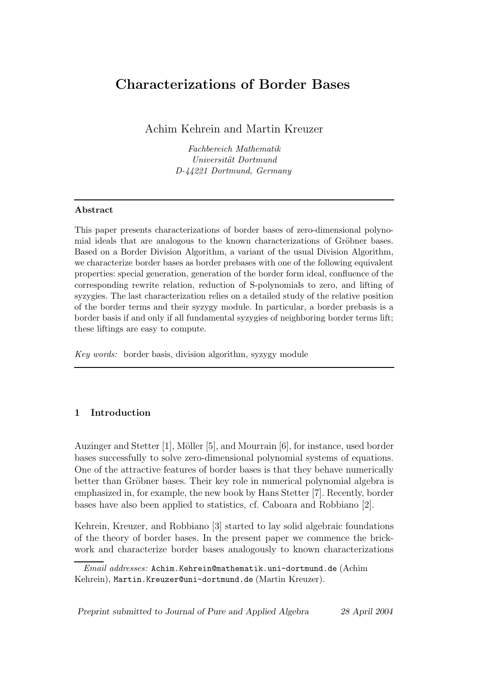# Characterizations of Border Bases

Achim Kehrein and Martin Kreuzer

Fachbereich Mathematik Universität Dortmund D-44221 Dortmund, Germany

#### Abstract

This paper presents characterizations of border bases of zero-dimensional polynomial ideals that are analogous to the known characterizations of Gröbner bases. Based on a Border Division Algorithm, a variant of the usual Division Algorithm, we characterize border bases as border prebases with one of the following equivalent properties: special generation, generation of the border form ideal, confluence of the corresponding rewrite relation, reduction of S-polynomials to zero, and lifting of syzygies. The last characterization relies on a detailed study of the relative position of the border terms and their syzygy module. In particular, a border prebasis is a border basis if and only if all fundamental syzygies of neighboring border terms lift; these liftings are easy to compute.

Key words: border basis, division algorithm, syzygy module

# 1 Introduction

Auzinger and Stetter [1], Möller [5], and Mourrain  $[6]$ , for instance, used border bases successfully to solve zero-dimensional polynomial systems of equations. One of the attractive features of border bases is that they behave numerically better than Gröbner bases. Their key role in numerical polynomial algebra is emphasized in, for example, the new book by Hans Stetter [7]. Recently, border bases have also been applied to statistics, cf. Caboara and Robbiano [2].

Kehrein, Kreuzer, and Robbiano [3] started to lay solid algebraic foundations of the theory of border bases. In the present paper we commence the brickwork and characterize border bases analogously to known characterizations

Preprint submitted to Journal of Pure and Applied Algebra 28 April 2004

Email addresses: Achim.Kehrein@mathematik.uni-dortmund.de (Achim Kehrein), Martin.Kreuzer@uni-dortmund.de (Martin Kreuzer).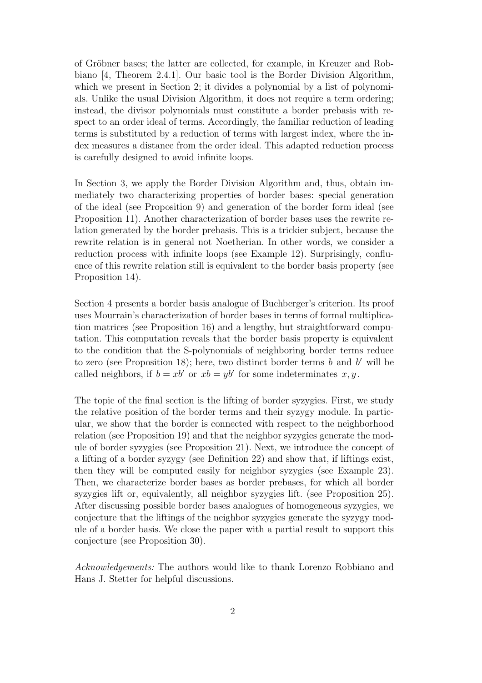of Gröbner bases; the latter are collected, for example, in Kreuzer and Robbiano [4, Theorem 2.4.1]. Our basic tool is the Border Division Algorithm, which we present in Section 2; it divides a polynomial by a list of polynomials. Unlike the usual Division Algorithm, it does not require a term ordering; instead, the divisor polynomials must constitute a border prebasis with respect to an order ideal of terms. Accordingly, the familiar reduction of leading terms is substituted by a reduction of terms with largest index, where the index measures a distance from the order ideal. This adapted reduction process is carefully designed to avoid infinite loops.

In Section 3, we apply the Border Division Algorithm and, thus, obtain immediately two characterizing properties of border bases: special generation of the ideal (see Proposition 9) and generation of the border form ideal (see Proposition 11). Another characterization of border bases uses the rewrite relation generated by the border prebasis. This is a trickier subject, because the rewrite relation is in general not Noetherian. In other words, we consider a reduction process with infinite loops (see Example 12). Surprisingly, confluence of this rewrite relation still is equivalent to the border basis property (see Proposition 14).

Section 4 presents a border basis analogue of Buchberger's criterion. Its proof uses Mourrain's characterization of border bases in terms of formal multiplication matrices (see Proposition 16) and a lengthy, but straightforward computation. This computation reveals that the border basis property is equivalent to the condition that the S-polynomials of neighboring border terms reduce to zero (see Proposition 18); here, two distinct border terms  $b$  and  $b'$  will be called neighbors, if  $b = xb'$  or  $xb = yb'$  for some indeterminates x, y.

The topic of the final section is the lifting of border syzygies. First, we study the relative position of the border terms and their syzygy module. In particular, we show that the border is connected with respect to the neighborhood relation (see Proposition 19) and that the neighbor syzygies generate the module of border syzygies (see Proposition 21). Next, we introduce the concept of a lifting of a border syzygy (see Definition 22) and show that, if liftings exist, then they will be computed easily for neighbor syzygies (see Example 23). Then, we characterize border bases as border prebases, for which all border syzygies lift or, equivalently, all neighbor syzygies lift. (see Proposition 25). After discussing possible border bases analogues of homogeneous syzygies, we conjecture that the liftings of the neighbor syzygies generate the syzygy module of a border basis. We close the paper with a partial result to support this conjecture (see Proposition 30).

Acknowledgements: The authors would like to thank Lorenzo Robbiano and Hans J. Stetter for helpful discussions.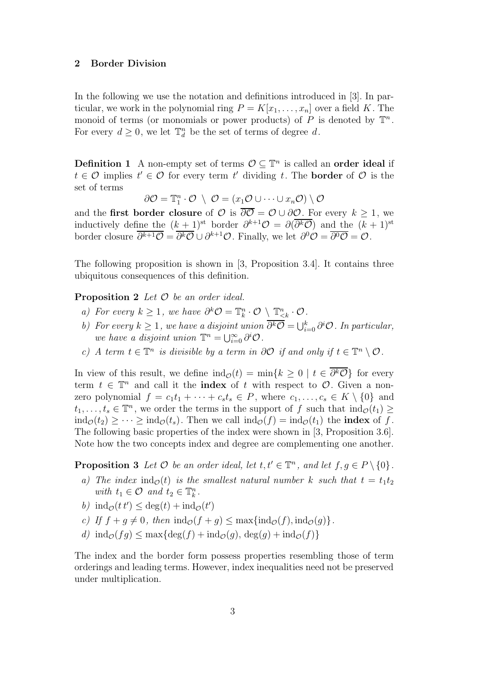#### 2 Border Division

In the following we use the notation and definitions introduced in [3]. In particular, we work in the polynomial ring  $P = K[x_1, \ldots, x_n]$  over a field K. The monoid of terms (or monomials or power products) of  $P$  is denoted by  $\mathbb{T}^n$ . For every  $d \geq 0$ , we let  $\mathbb{T}_d^n$  be the set of terms of degree d.

**Definition 1** A non-empty set of terms  $\mathcal{O} \subseteq \mathbb{T}^n$  is called an **order ideal** if  $t \in \mathcal{O}$  implies  $t' \in \mathcal{O}$  for every term  $t'$  dividing t. The **border** of  $\mathcal{O}$  is the set of terms

$$
\partial \mathcal{O} = \mathbb{T}_1^n \cdot \mathcal{O} \setminus \mathcal{O} = (x_1 \mathcal{O} \cup \cdots \cup x_n \mathcal{O}) \setminus \mathcal{O}
$$

and the **first border closure** of  $\mathcal{O}$  is  $\overline{\partial \mathcal{O}} = \mathcal{O} \cup \partial \mathcal{O}$ . For every  $k \geq 1$ , we inductively define the  $(k+1)$ <sup>st</sup> border  $\partial^{k+1}O = \partial(\overline{\partial^kO})$  and the  $(k+1)$ <sup>st</sup> border closure  $\overline{\partial^{k+1}\mathcal{O}} = \overline{\partial^k \mathcal{O}} \cup \partial^{k+1} \mathcal{O}$ . Finally, we let  $\partial^0 \mathcal{O} = \overline{\partial^0 \mathcal{O}} = \mathcal{O}$ .

The following proposition is shown in [3, Proposition 3.4]. It contains three ubiquitous consequences of this definition.

**Proposition 2** Let  $\mathcal O$  be an order ideal.

- a) For every  $k \geq 1$ , we have  $\partial^k \mathcal{O} = \mathbb{T}_k^n \cdot \mathcal{O} \setminus \mathbb{T}_{\leq k}^n \cdot \mathcal{O}$ .
- b) For every  $k \geq 1$ , we have a disjoint union  $\overline{\partial^k \mathcal{O}} = \bigcup_{i=0}^k \partial^i \mathcal{O}$ . In particular, we have a disjoint union  $\mathbb{T}^n = \bigcup_{i=0}^{\infty} \partial^i \mathcal{O}$ .
- c) A term  $t \in \mathbb{T}^n$  is divisible by a term in  $\partial \mathcal{O}$  if and only if  $t \in \mathbb{T}^n \setminus \mathcal{O}$ .

In view of this result, we define  $\text{ind}_{\mathcal{O}}(t) = \min\{k \geq 0 \mid t \in \partial^k \mathcal{O}\}\)$  for every term  $t \in \mathbb{T}^n$  and call it the **index** of t with respect to  $\mathcal{O}$ . Given a nonzero polynomial  $f = c_1t_1 + \cdots + c_st_s \in P$ , where  $c_1, \ldots, c_s \in K \setminus \{0\}$  and  $t_1, \ldots, t_s \in \mathbb{T}^n$ , we order the terms in the support of f such that  $\operatorname{ind}_{\mathcal{O}}(t_1) \geq$  $\text{ind}_{\mathcal{O}}(t_2) \geq \cdots \geq \text{ind}_{\mathcal{O}}(t_s)$ . Then we call  $\text{ind}_{\mathcal{O}}(f) = \text{ind}_{\mathcal{O}}(t_1)$  the **index** of f. The following basic properties of the index were shown in [3, Proposition 3.6]. Note how the two concepts index and degree are complementing one another.

**Proposition 3** Let  $\mathcal{O}$  be an order ideal, let  $t, t' \in \mathbb{T}^n$ , and let  $f, g \in P \setminus \{0\}$ .

- a) The index ind<sub> $\mathcal{O}(t)$ </sub> is the smallest natural number k such that  $t = t_1 t_2$ with  $t_1 \in \mathcal{O}$  and  $t_2 \in \mathbb{T}_k^n$ .
- b)  $\operatorname{ind}_{\mathcal{O}}(t t') \leq \operatorname{deg}(t) + \operatorname{ind}_{\mathcal{O}}(t')$
- c) If  $f + q \neq 0$ , then  $\text{ind}_{\mathcal{O}}(f + q) \leq \max\{\text{ind}_{\mathcal{O}}(f), \text{ind}_{\mathcal{O}}(q)\}.$
- d)  $\text{ind}_{\mathcal{O}}(fq) \leq \max\{\text{deg}(f) + \text{ind}_{\mathcal{O}}(q), \text{deg}(q) + \text{ind}_{\mathcal{O}}(f)\}\$

The index and the border form possess properties resembling those of term orderings and leading terms. However, index inequalities need not be preserved under multiplication.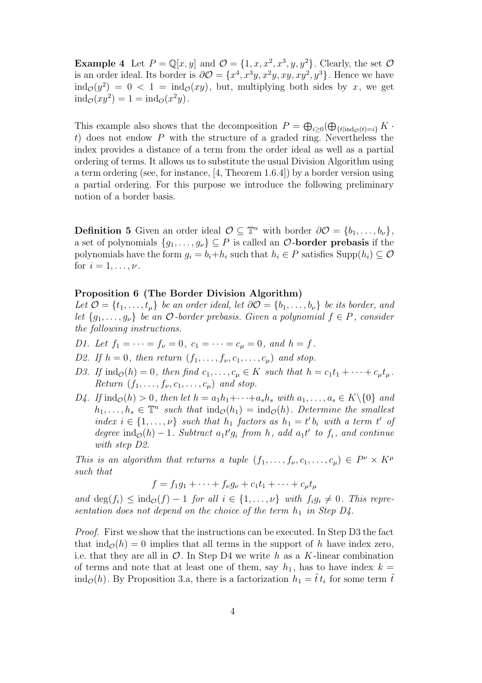**Example 4** Let  $P = \mathbb{Q}[x, y]$  and  $\mathcal{O} = \{1, x, x^2, x^3, y, y^2\}$ . Clearly, the set  $\mathcal{O}$ is an order ideal. Its border is  $\partial \mathcal{O} = \{x^4, x^3y, x^2y, xy, xy^2, y^3\}$ . Hence we have  $\text{ind}_{\mathcal{O}}(y^2) = 0 < 1 = \text{ind}_{\mathcal{O}}(xy)$ , but, multiplying both sides by x, we get  $\operatorname{ind}_{\mathcal{O}}(xy^2) = 1 = \operatorname{ind}_{\mathcal{O}}(x^2y).$ 

This example also shows that the decomposition  $P = \bigoplus_{i \geq 0} (\bigoplus_{\{t | \text{ind}_{\mathcal{O}}(t) = i\}} K \cdot$ t) does not endow  $P$  with the structure of a graded ring. Nevertheless the index provides a distance of a term from the order ideal as well as a partial ordering of terms. It allows us to substitute the usual Division Algorithm using a term ordering (see, for instance, [4, Theorem 1.6.4]) by a border version using a partial ordering. For this purpose we introduce the following preliminary notion of a border basis.

**Definition 5** Given an order ideal  $\mathcal{O} \subseteq \mathbb{T}^n$  with border  $\partial \mathcal{O} = \{b_1, \ldots, b_\nu\},\$ a set of polynomials  $\{g_1, \ldots, g_\nu\} \subseteq P$  is called an  $\mathcal O$ -border prebasis if the polynomials have the form  $g_i = b_i + h_i$  such that  $h_i \in P$  satisfies  $\text{Supp}(h_i) \subseteq \mathcal{O}$ for  $i = 1, \ldots, \nu$ .

#### Proposition 6 (The Border Division Algorithm)

Let  $\mathcal{O} = \{t_1, \ldots, t_\mu\}$  be an order ideal, let  $\partial \mathcal{O} = \{b_1, \ldots, b_\nu\}$  be its border, and let  $\{g_1, \ldots, g_\nu\}$  be an  $\mathcal O$ -border prebasis. Given a polynomial  $f \in P$ , consider the following instructions.

- D1. Let  $f_1 = \cdots = f_\nu = 0$ ,  $c_1 = \cdots = c_\mu = 0$ , and  $h = f$ .
- D2. If  $h = 0$ , then return  $(f_1, \ldots, f_\nu, c_1, \ldots, c_\mu)$  and stop.
- D3. If  $\text{ind}_{\mathcal{O}}(h) = 0$ , then find  $c_1, \ldots, c_{\mu} \in K$  such that  $h = c_1 t_1 + \cdots + c_{\mu} t_{\mu}$ . Return  $(f_1, \ldots, f_\nu, c_1, \ldots, c_\mu)$  and stop.
- $D_4$ . If  $\text{ind}_{\mathcal{O}}(h) > 0$ , then let  $h = a_1h_1 + \cdots + a_sh_s$  with  $a_1, \ldots, a_s \in K\backslash\{0\}$  and  $h_1, \ldots, h_s \in \mathbb{T}^n$  such that  $\text{ind}_{\mathcal{O}}(h_1) = \text{ind}_{\mathcal{O}}(h)$ . Determine the smallest index  $i \in \{1, \ldots, \nu\}$  such that  $h_1$  factors as  $h_1 = t' b_i$  with a term t' of degree  $\text{ind}_{\mathcal{O}}(h) - 1$ . Subtract  $a_1 t' g_i$  from h, add  $a_1 t'$  to  $f_i$ , and continue with step D2.

This is an algorithm that returns a tuple  $(f_1, \ldots, f_\nu, c_1, \ldots, c_\mu) \in P^\nu \times K^\mu$ such that

$$
f=f_1g_1+\cdots+f_\nu g_\nu+c_1t_1+\cdots+c_\mu t_\mu
$$

and  $\deg(f_i) \leq \text{ind}_{\mathcal{O}}(f) - 1$  for all  $i \in \{1, \ldots, \nu\}$  with  $f_i g_i \neq 0$ . This representation does not depend on the choice of the term  $h_1$  in Step D4.

Proof. First we show that the instructions can be executed. In Step D3 the fact that  $\text{ind}_{\mathcal{O}}(h) = 0$  implies that all terms in the support of h have index zero, i.e. that they are all in  $\mathcal O$ . In Step D4 we write h as a K-linear combination of terms and note that at least one of them, say  $h_1$ , has to have index  $k =$  $\text{ind}_{\mathcal{O}}(h)$ . By Proposition 3.a, there is a factorization  $h_1 = \tilde{t} t_i$  for some term  $\tilde{t}$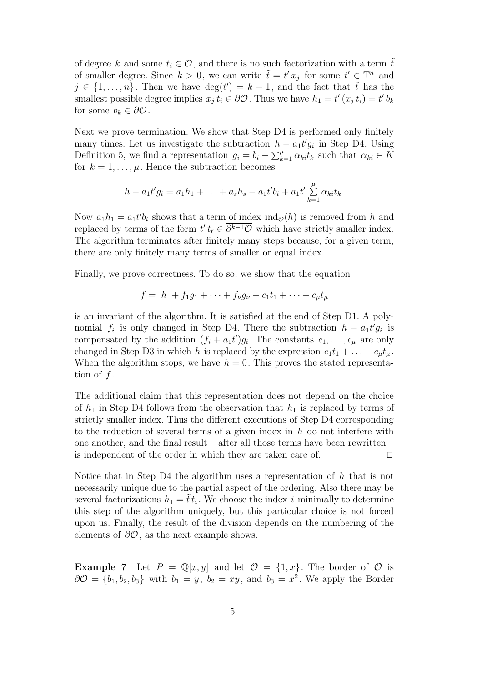of degree k and some  $t_i \in \mathcal{O}$ , and there is no such factorization with a term  $\tilde{t}$ of smaller degree. Since  $k > 0$ , we can write  $\tilde{t} = t' x_j$  for some  $t' \in \mathbb{T}^n$  and  $j \in \{1, \ldots, n\}$ . Then we have  $\deg(t') = k - 1$ , and the fact that  $\tilde{t}$  has the smallest possible degree implies  $x_j t_i \in \partial \mathcal{O}$ . Thus we have  $h_1 = t'(x_j t_i) = t' b_k$ for some  $b_k \in \partial \mathcal{O}$ .

Next we prove termination. We show that Step D4 is performed only finitely many times. Let us investigate the subtraction  $h - a_1 t' g_i$  in Step D4. Using Definition 5, we find a representation  $g_i = b_i - \sum_{k=1}^{\mu} \alpha_{ki} t_k$  such that  $\alpha_{ki} \in K$ for  $k = 1, \ldots, \mu$ . Hence the subtraction becomes

$$
h - a_1t'g_i = a_1h_1 + \ldots + a_sh_s - a_1t'b_i + a_1t'\sum_{k=1}^{\mu} \alpha_{ki}t_k.
$$

Now  $a_1h_1 = a_1t'b_i$  shows that a term of index  $\text{ind}_{\mathcal{O}}(h)$  is removed from h and replaced by terms of the form  $t' t_\ell \in \overline{\partial^{k-1} \mathcal{O}}$  which have strictly smaller index. The algorithm terminates after finitely many steps because, for a given term, there are only finitely many terms of smaller or equal index.

Finally, we prove correctness. To do so, we show that the equation

$$
f = h + f_1 g_1 + \dots + f_\nu g_\nu + c_1 t_1 + \dots + c_\mu t_\mu
$$

is an invariant of the algorithm. It is satisfied at the end of Step D1. A polynomial  $f_i$  is only changed in Step D4. There the subtraction  $h - a_1 t' g_i$  is compensated by the addition  $(f_i + a_1 t')g_i$ . The constants  $c_1, \ldots, c_\mu$  are only changed in Step D3 in which h is replaced by the expression  $c_1t_1 + \ldots + c_nt_u$ . When the algorithm stops, we have  $h = 0$ . This proves the stated representation of  $f$ .

The additional claim that this representation does not depend on the choice of  $h_1$  in Step D4 follows from the observation that  $h_1$  is replaced by terms of strictly smaller index. Thus the different executions of Step D4 corresponding to the reduction of several terms of a given index in  $h$  do not interfere with one another, and the final result – after all those terms have been rewritten – is independent of the order in which they are taken care of.  $\Box$ 

Notice that in Step D4 the algorithm uses a representation of h that is not necessarily unique due to the partial aspect of the ordering. Also there may be several factorizations  $h_1 = \tilde{t} t_i$ . We choose the index i minimally to determine this step of the algorithm uniquely, but this particular choice is not forced upon us. Finally, the result of the division depends on the numbering of the elements of  $\partial\mathcal{O}$ , as the next example shows.

**Example 7** Let  $P = \mathbb{Q}[x, y]$  and let  $\mathcal{O} = \{1, x\}$ . The border of  $\mathcal{O}$  is  $\partial \mathcal{O} = \{b_1, b_2, b_3\}$  with  $b_1 = y$ ,  $b_2 = xy$ , and  $b_3 = x^2$ . We apply the Border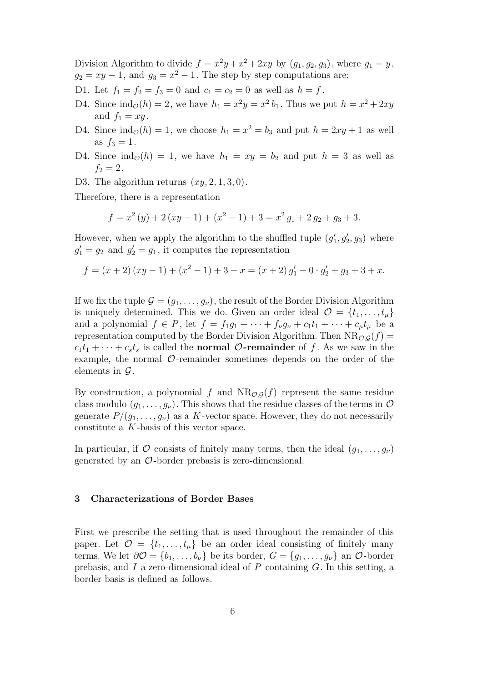Division Algorithm to divide  $f = x^2y + x^2 + 2xy$  by  $(g_1, g_2, g_3)$ , where  $g_1 = y$ ,  $g_2 = xy - 1$ , and  $g_3 = x^2 - 1$ . The step by step computations are:

- D1. Let  $f_1 = f_2 = f_3 = 0$  and  $c_1 = c_2 = 0$  as well as  $h = f$ .
- D4. Since  $\operatorname{ind}_{\mathcal{O}}(h) = 2$ , we have  $h_1 = x^2y = x^2b_1$ . Thus we put  $h = x^2 + 2xy$ and  $f_1 = xy$ .
- D4. Since  $\text{ind}_{\mathcal{O}}(h) = 1$ , we choose  $h_1 = x^2 = b_3$  and put  $h = 2xy + 1$  as well as  $f_3 = 1$ .
- D4. Since  $\text{ind}_{\mathcal{O}}(h) = 1$ , we have  $h_1 = xy = b_2$  and put  $h = 3$  as well as  $f_2 = 2$ .
- D3. The algorithm returns  $(xy, 2, 1, 3, 0)$ .

Therefore, there is a representation

$$
f = x^{2}(y) + 2(xy - 1) + (x^{2} - 1) + 3 = x^{2} g_{1} + 2 g_{2} + g_{3} + 3.
$$

However, when we apply the algorithm to the shuffled tuple  $(g'_1, g'_2, g_3)$  where  $g'_1 = g_2$  and  $g'_2 = g_1$ , it computes the representation

$$
f = (x + 2)(xy - 1) + (x2 - 1) + 3 + x = (x + 2)g'_{1} + 0 \cdot g'_{2} + g_{3} + 3 + x.
$$

If we fix the tuple  $\mathcal{G} = (g_1, \ldots, g_\nu)$ , the result of the Border Division Algorithm is uniquely determined. This we do. Given an order ideal  $\mathcal{O} = \{t_1, \ldots, t_\mu\}$ and a polynomial  $f \in P$ , let  $f = f_1g_1 + \cdots + f_\nu g_\nu + c_1t_1 + \cdots + c_u t_u$  be a representation computed by the Border Division Algorithm. Then  $NR_{\mathcal{O},\mathcal{G}}(f)$  =  $c_1t_1 + \cdots + c_st_s$  is called the **normal O-remainder** of f. As we saw in the example, the normal  $\mathcal{O}$ -remainder sometimes depends on the order of the elements in  $\mathcal G$ .

By construction, a polynomial f and  $NR_{\mathcal{O},\mathcal{G}}(f)$  represent the same residue class modulo  $(g_1, \ldots, g_\nu)$ . This shows that the residue classes of the terms in  $\mathcal O$ generate  $P/(q_1, \ldots, q_\nu)$  as a K-vector space. However, they do not necessarily constitute a K -basis of this vector space.

In particular, if O consists of finitely many terms, then the ideal  $(g_1, \ldots, g_\nu)$ generated by an O-border prebasis is zero-dimensional.

#### 3 Characterizations of Border Bases

First we prescribe the setting that is used throughout the remainder of this paper. Let  $\mathcal{O} = \{t_1, \ldots, t_\mu\}$  be an order ideal consisting of finitely many terms. We let  $\partial \mathcal{O} = \{b_1, \ldots, b_\nu\}$  be its border,  $G = \{g_1, \ldots, g_\nu\}$  an  $\mathcal{O}\text{-border}$ prebasis, and  $I$  a zero-dimensional ideal of  $P$  containing  $G$ . In this setting, a border basis is defined as follows.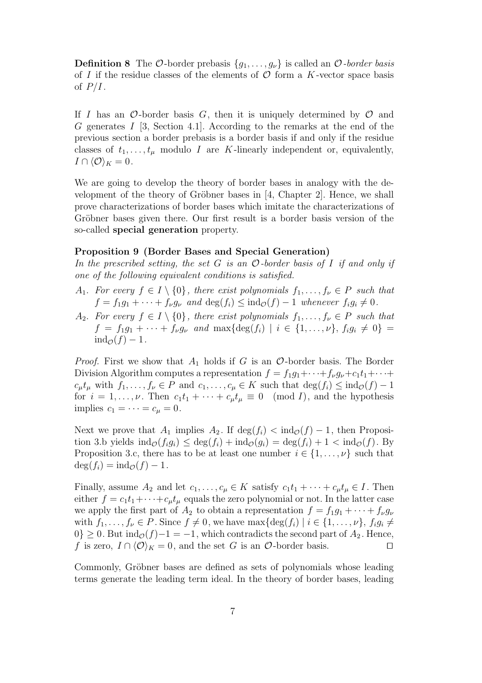**Definition 8** The O-border prebasis  $\{g_1, \ldots, g_\nu\}$  is called an O-border basis of I if the residue classes of the elements of  $\mathcal O$  form a K-vector space basis of  $P/I$ .

If I has an  $\mathcal{O}\text{-border basis }G$ , then it is uniquely determined by  $\mathcal O$  and G generates I [3, Section 4.1]. According to the remarks at the end of the previous section a border prebasis is a border basis if and only if the residue classes of  $t_1, \ldots, t_\mu$  modulo I are K-linearly independent or, equivalently,  $I \cap \langle \mathcal{O} \rangle_K = 0.$ 

We are going to develop the theory of border bases in analogy with the development of the theory of Gröbner bases in  $[4,$  Chapter 2. Hence, we shall prove characterizations of border bases which imitate the characterizations of Gröbner bases given there. Our first result is a border basis version of the so-called special generation property.

#### Proposition 9 (Border Bases and Special Generation)

In the prescribed setting, the set G is an  $\mathcal O$ -border basis of I if and only if one of the following equivalent conditions is satisfied.

- A<sub>1</sub>. For every  $f \in I \setminus \{0\}$ , there exist polynomials  $f_1, \ldots, f_\nu \in P$  such that  $f = f_1g_1 + \cdots + f_\nu g_\nu$  and  $\deg(f_i) \leq \text{ind}_{\mathcal{O}}(f) - 1$  whenever  $f_ig_i \neq 0$ .
- A<sub>2</sub>. For every  $f \in I \setminus \{0\}$ , there exist polynomials  $f_1, \ldots, f_{\nu} \in P$  such that  $f = f_1g_1 + \cdots + f_\nu g_\nu$  and  $\max\{\deg(f_i) | i \in \{1, \ldots, \nu\}, f_ig_i \neq 0\}$  $\text{ind}_{\mathcal{O}}(f) - 1$ .

*Proof.* First we show that  $A_1$  holds if G is an  $\mathcal O$ -border basis. The Border Division Algorithm computes a representation  $f = f_1g_1 + \cdots + f_\nu g_\nu + c_1t_1 + \cdots$  $c_{\mu}t_{\mu}$  with  $f_1,\ldots,f_{\nu}\in P$  and  $c_1,\ldots,c_{\mu}\in K$  such that  $\deg(f_i)\leq \text{ind}_{\mathcal{O}}(f)-1$ for  $i = 1, ..., \nu$ . Then  $c_1t_1 + \cdots + c_\mu t_\mu \equiv 0 \pmod{I}$ , and the hypothesis implies  $c_1 = \cdots = c_\mu = 0$ .

Next we prove that  $A_1$  implies  $A_2$ . If  $\deg(f_i) < \text{ind}_{\mathcal{O}}(f) - 1$ , then Proposition 3.b yields  $\text{ind}_{\mathcal{O}}(f_i g_i) \leq \text{deg}(f_i) + \text{ind}_{\mathcal{O}}(g_i) = \text{deg}(f_i) + 1 < \text{ind}_{\mathcal{O}}(f)$ . By Proposition 3.c, there has to be at least one number  $i \in \{1, \ldots, \nu\}$  such that  $deg(f_i) = ind_{\mathcal{O}}(f) - 1.$ 

Finally, assume  $A_2$  and let  $c_1, \ldots, c_\mu \in K$  satisfy  $c_1t_1 + \cdots + c_\mu t_\mu \in I$ . Then either  $f = c_1t_1 + \cdots + c_\mu t_\mu$  equals the zero polynomial or not. In the latter case we apply the first part of  $A_2$  to obtain a representation  $f = f_1g_1 + \cdots + f_\nu g_\nu$ with  $f_1, \ldots, f_\nu \in P$ . Since  $f \neq 0$ , we have  $\max\{\deg(f_i) \mid i \in \{1, \ldots, \nu\}, f_ig_i \neq 0\}$  $0\} \geq 0$ . But ind<sub> $\mathcal{O}(f)-1=-1$ , which contradicts the second part of  $A_2$ . Hence,</sub> f is zero,  $I \cap \langle \mathcal{O} \rangle_K = 0$ , and the set G is an  $\mathcal{O}$ -border basis.  $\square$ 

Commonly, Gröbner bases are defined as sets of polynomials whose leading terms generate the leading term ideal. In the theory of border bases, leading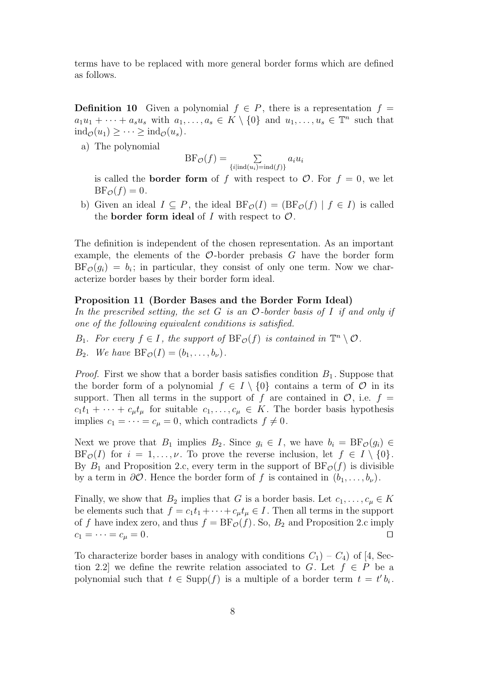terms have to be replaced with more general border forms which are defined as follows.

**Definition 10** Given a polynomial  $f \in P$ , there is a representation  $f =$  $a_1u_1 + \cdots + a_su_s$  with  $a_1, \ldots, a_s \in K \setminus \{0\}$  and  $u_1, \ldots, u_s \in \mathbb{T}^n$  such that  $\operatorname{ind}_{\mathcal{O}}(u_1) \geq \cdots \geq \operatorname{ind}_{\mathcal{O}}(u_s).$ 

a) The polynomial

$$
BF_{\mathcal{O}}(f) = \sum_{\{i \mid ind(u_i) = ind(f)\}} a_i u_i
$$

is called the **border form** of f with respect to  $\mathcal{O}$ . For  $f = 0$ , we let  $BF_{\mathcal{O}}(f)=0.$ 

b) Given an ideal  $I \subseteq P$ , the ideal  $BF_{\mathcal{O}}(I) = (BF_{\mathcal{O}}(f) | f \in I)$  is called the **border form ideal** of  $I$  with respect to  $\mathcal{O}$ .

The definition is independent of the chosen representation. As an important example, the elements of the  $\mathcal O$ -border prebasis  $G$  have the border form  $BF_{\mathcal{O}}(g_i) = b_i$ ; in particular, they consist of only one term. Now we characterize border bases by their border form ideal.

#### Proposition 11 (Border Bases and the Border Form Ideal)

In the prescribed setting, the set G is an  $\mathcal O$ -border basis of I if and only if one of the following equivalent conditions is satisfied.

 $B_1$ . For every  $f \in I$ , the support of  $BF_{\mathcal{O}}(f)$  is contained in  $\mathbb{T}^n \setminus \mathcal{O}$ .  $B_2$ . We have  $BF_{\mathcal{O}}(I) = (b_1, \ldots, b_{\nu}).$ 

*Proof.* First we show that a border basis satisfies condition  $B_1$ . Suppose that the border form of a polynomial  $f \in I \setminus \{0\}$  contains a term of  $\mathcal O$  in its support. Then all terms in the support of f are contained in  $\mathcal{O}$ , i.e.  $f =$  $c_1t_1 + \cdots + c_\mu t_\mu$  for suitable  $c_1, \ldots, c_\mu \in K$ . The border basis hypothesis implies  $c_1 = \cdots = c_{\mu} = 0$ , which contradicts  $f \neq 0$ .

Next we prove that  $B_1$  implies  $B_2$ . Since  $g_i \in I$ , we have  $b_i = BF_{\mathcal{O}}(g_i) \in$  $BF_{\mathcal{O}}(I)$  for  $i = 1, \ldots, \nu$ . To prove the reverse inclusion, let  $f \in I \setminus \{0\}$ . By  $B_1$  and Proposition 2.c, every term in the support of  $BF_{\mathcal{O}}(f)$  is divisible by a term in  $\partial \mathcal{O}$ . Hence the border form of f is contained in  $(b_1, \ldots, b_\nu)$ .

Finally, we show that  $B_2$  implies that G is a border basis. Let  $c_1, \ldots, c_{\mu} \in K$ be elements such that  $f = c_1t_1 + \cdots + c_nt_u \in I$ . Then all terms in the support of f have index zero, and thus  $f = BF_{\mathcal{O}}(f)$ . So,  $B_2$  and Proposition 2.c imply  $c_1 = \cdots = c_{\mu} = 0.$ 

To characterize border bases in analogy with conditions  $C_1$ ) –  $C_4$ ) of [4, Section 2.2] we define the rewrite relation associated to G. Let  $f \in P$  be a polynomial such that  $t \in \text{Supp}(f)$  is a multiple of a border term  $t = t' b_i$ .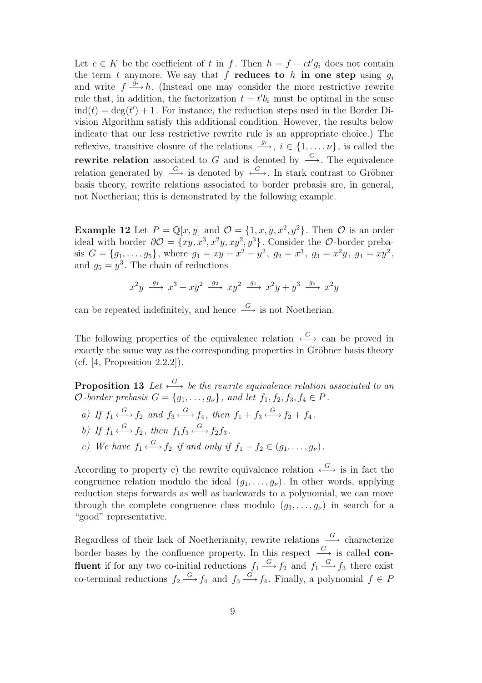Let  $c \in K$  be the coefficient of t in f. Then  $h = f - ct'g_i$  does not contain the term t anymore. We say that f reduces to h in one step using  $g_i$ and write  $f \stackrel{\tilde{g_i}}{\longrightarrow} h$ . (Instead one may consider the more restrictive rewrite rule that, in addition, the factorization  $t = t'b_i$  must be optimal in the sense  $\text{ind}(t) = \text{deg}(t') + 1$ . For instance, the reduction steps used in the Border Division Algorithm satisfy this additional condition. However, the results below indicate that our less restrictive rewrite rule is an appropriate choice.) The reflexive, transitive closure of the relations  $\stackrel{g_i}{\longrightarrow}$ ,  $i \in \{1, \ldots, \nu\}$ , is called the **rewrite relation** associated to G and is denoted by  $\stackrel{G}{\longrightarrow}$ . The equivalence relation generated by  $\stackrel{G}{\longrightarrow}$  is denoted by  $\stackrel{G}{\longleftrightarrow}$ . In stark contrast to Gröbner basis theory, rewrite relations associated to border prebasis are, in general, not Noetherian; this is demonstrated by the following example.

**Example 12** Let  $P = \mathbb{Q}[x, y]$  and  $\mathcal{O} = \{1, x, y, x^2, y^2\}$ . Then  $\mathcal O$  is an order ideal with border  $\partial \mathcal{O} = \{xy, x^3, x^2y, xy^2, y^3\}$ . Consider the  $\mathcal{O}$ -border prebasis  $G = \{g_1, \ldots, g_5\}$ , where  $g_1 = xy - x^2 - y^2$ ,  $g_2 = x^3$ ,  $g_3 = x^2y$ ,  $g_4 = xy^2$ , and  $g_5 = y^3$ . The chain of reductions

$$
x^2y \xrightarrow{g_1} x^3 + xy^2 \xrightarrow{g_2} xy^2 \xrightarrow{g_1} x^2y + y^3 \xrightarrow{g_5} x^2y
$$

can be repeated indefinitely, and hence  $\stackrel{G}{\longrightarrow}$  is not Noetherian.

The following properties of the equivalence relation  $\longleftrightarrow^G$  can be proved in exactly the same way as the corresponding properties in Gröbner basis theory (cf. [4, Proposition 2.2.2]).

**Proposition 13** Let  $\stackrel{G}{\longleftrightarrow}$  be the rewrite equivalence relation associated to an O-border prebasis  $G = \{g_1, \ldots, g_\nu\}$ , and let  $f_1, f_2, f_3, f_4 \in P$ .

- a) If  $f_1 \xrightarrow{G} f_2$  and  $f_3 \xrightarrow{G} f_4$ , then  $f_1 + f_3 \xrightarrow{G} f_2 + f_4$ .
- b) If  $f_1 \xleftarrow{G} f_2$ , then  $f_1 f_3 \xleftarrow{G} f_2 f_3$ .
- c) We have  $f_1 \xrightarrow{G} f_2$  if and only if  $f_1 f_2 \in (g_1, \ldots, g_\nu)$ .

According to property c) the rewrite equivalence relation  $\longleftrightarrow$  is in fact the congruence relation modulo the ideal  $(g_1, \ldots, g_\nu)$ . In other words, applying reduction steps forwards as well as backwards to a polynomial, we can move through the complete congruence class modulo  $(g_1, \ldots, g_\nu)$  in search for a "good" representative.

Regardless of their lack of Noetherianity, rewrite relations  $\stackrel{G}{\longrightarrow}$  characterize border bases by the confluence property. In this respect  $\frac{G}{\longrightarrow}$  is called **confluent** if for any two co-initial reductions  $f_1 \xrightarrow{G} f_2$  and  $f_1 \xrightarrow{G} f_3$  there exist co-terminal reductions  $f_2 \xrightarrow{G} f_4$  and  $f_3 \xrightarrow{G} f_4$ . Finally, a polynomial  $f \in P$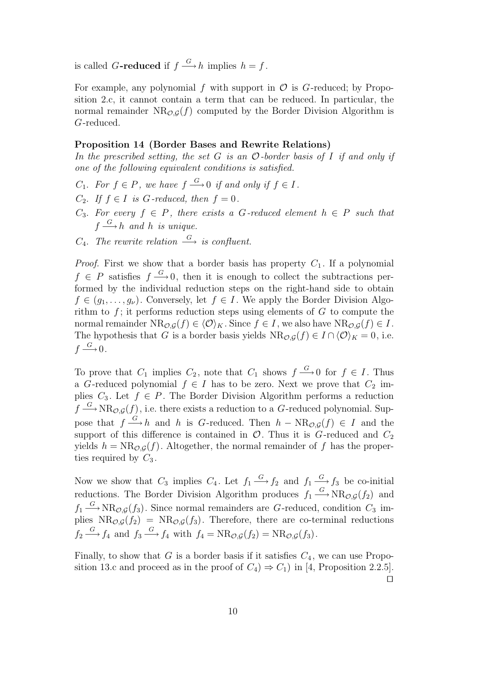is called G-reduced if  $f \stackrel{G}{\longrightarrow} h$  implies  $h = f$ .

For example, any polynomial f with support in  $\mathcal O$  is G-reduced; by Proposition 2.c, it cannot contain a term that can be reduced. In particular, the normal remainder  $NR_{\mathcal{O},G}(f)$  computed by the Border Division Algorithm is G-reduced.

#### Proposition 14 (Border Bases and Rewrite Relations)

In the prescribed setting, the set G is an  $\mathcal O$ -border basis of I if and only if one of the following equivalent conditions is satisfied.

- $C_1$ . For  $f \in P$ , we have  $f \xrightarrow{G} 0$  if and only if  $f \in I$ .
- $C_2$ . If  $f \in I$  is G-reduced, then  $f = 0$ .
- $C_3$ . For every  $f \in P$ , there exists a G-reduced element  $h \in P$  such that  $f \stackrel{G}{\longrightarrow} h$  and h is unique.
- $C_4$ . The rewrite relation  $\stackrel{G}{\longrightarrow}$  is confluent.

*Proof.* First we show that a border basis has property  $C_1$ . If a polynomial  $f \in P$  satisfies  $f \stackrel{G}{\longrightarrow} 0$ , then it is enough to collect the subtractions performed by the individual reduction steps on the right-hand side to obtain  $f \in (g_1, \ldots, g_\nu)$ . Conversely, let  $f \in I$ . We apply the Border Division Algorithm to  $f$ ; it performs reduction steps using elements of  $G$  to compute the normal remainder  $NR_{\mathcal{O},\mathcal{G}}(f) \in \langle \mathcal{O} \rangle_K$ . Since  $f \in I$ , we also have  $NR_{\mathcal{O},\mathcal{G}}(f) \in I$ . The hypothesis that G is a border basis yields  $NR_{\mathcal{O},\mathcal{G}}(f) \in I \cap \langle \mathcal{O} \rangle_K = 0$ , i.e.  $f \stackrel{G}{\longrightarrow} 0$ .

To prove that  $C_1$  implies  $C_2$ , note that  $C_1$  shows  $f \stackrel{G}{\longrightarrow} 0$  for  $f \in I$ . Thus a G-reduced polynomial  $f \in I$  has to be zero. Next we prove that  $C_2$  implies  $C_3$ . Let  $f \in P$ . The Border Division Algorithm performs a reduction  $f \stackrel{G}{\longrightarrow} \text{NR}_{\mathcal{O},\mathcal{G}}(f)$ , i.e. there exists a reduction to a G-reduced polynomial. Suppose that  $f \stackrel{G}{\longrightarrow} h$  and h is G-reduced. Then  $h - NR_{\mathcal{O},\mathcal{G}}(f) \in I$  and the support of this difference is contained in  $\mathcal{O}$ . Thus it is G-reduced and  $C_2$ yields  $h = NR_{\mathcal{O},\mathcal{G}}(f)$ . Altogether, the normal remainder of f has the properties required by  $C_3$ .

Now we show that  $C_3$  implies  $C_4$ . Let  $f_1 \stackrel{G}{\longrightarrow} f_2$  and  $f_1 \stackrel{G}{\longrightarrow} f_3$  be co-initial reductions. The Border Division Algorithm produces  $f_1 \stackrel{G}{\longrightarrow} NR_{\mathcal{O},\mathcal{G}}(f_2)$  and  $f_1 \stackrel{G}{\longrightarrow} \text{NR}_{\mathcal{O},\mathcal{G}}(f_3)$ . Since normal remainders are G-reduced, condition  $C_3$  implies  $NR_{\mathcal{O},\mathcal{G}}(f_2)$  =  $NR_{\mathcal{O},\mathcal{G}}(f_3)$ . Therefore, there are co-terminal reductions  $f_2 \xrightarrow{G} f_4$  and  $f_3 \xrightarrow{G} f_4$  with  $f_4 = \text{NR}_{\mathcal{O},\mathcal{G}}(f_2) = \text{NR}_{\mathcal{O},\mathcal{G}}(f_3)$ .

Finally, to show that G is a border basis if it satisfies  $C_4$ , we can use Proposition 13.c and proceed as in the proof of  $C_4$ )  $\Rightarrow$   $C_1$ ) in [4, Proposition 2.2.5].  $\Box$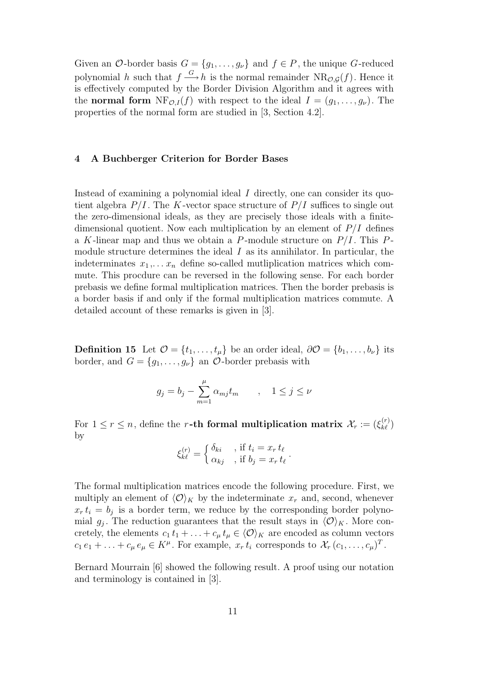Given an O-border basis  $G = \{g_1, \ldots, g_\nu\}$  and  $f \in P$ , the unique G-reduced polynomial h such that  $f \stackrel{G}{\longrightarrow} h$  is the normal remainder  $NR_{\mathcal{O},\mathcal{G}}(f)$ . Hence it is effectively computed by the Border Division Algorithm and it agrees with the **normal form**  $NF_{\mathcal{O},I}(f)$  with respect to the ideal  $I = (g_1, \ldots, g_\nu)$ . The properties of the normal form are studied in [3, Section 4.2].

#### 4 A Buchberger Criterion for Border Bases

Instead of examining a polynomial ideal  $I$  directly, one can consider its quotient algebra  $P/I$ . The K-vector space structure of  $P/I$  suffices to single out the zero-dimensional ideals, as they are precisely those ideals with a finitedimensional quotient. Now each multiplication by an element of  $P/I$  defines a K-linear map and thus we obtain a P-module structure on  $P/I$ . This Pmodule structure determines the ideal  $I$  as its annihilator. In particular, the indeterminates  $x_1, \ldots, x_n$  define so-called mutliplication matrices which commute. This procdure can be reversed in the following sense. For each border prebasis we define formal multiplication matrices. Then the border prebasis is a border basis if and only if the formal multiplication matrices commute. A detailed account of these remarks is given in [3].

**Definition 15** Let  $\mathcal{O} = \{t_1, \ldots, t_\mu\}$  be an order ideal,  $\partial \mathcal{O} = \{b_1, \ldots, b_\nu\}$  its border, and  $G = \{g_1, \ldots, g_\nu\}$  an  $\mathcal{O}$ -border prebasis with

$$
g_j = b_j - \sum_{m=1}^{\mu} \alpha_{mj} t_m \qquad , \quad 1 \le j \le \nu
$$

For  $1 \le r \le n$ , define the r-th formal multiplication matrix  $\mathcal{X}_r := (\xi_{k\ell}^{(r)})$  $\binom{(r)}{k\ell}$ by

$$
\xi_{k\ell}^{(r)} = \begin{cases} \delta_{ki} & , \text{ if } t_i = x_r t_\ell \\ \alpha_{kj} & , \text{ if } b_j = x_r t_\ell \end{cases}
$$

.

The formal multiplication matrices encode the following procedure. First, we multiply an element of  $\langle \mathcal{O} \rangle_K$  by the indeterminate  $x_r$  and, second, whenever  $x_r t_i = b_j$  is a border term, we reduce by the corresponding border polynomial  $g_j$ . The reduction guarantees that the result stays in  $\langle \mathcal{O} \rangle_K$ . More concretely, the elements  $c_1 t_1 + \ldots + c_{\mu} t_{\mu} \in \langle \mathcal{O} \rangle_K$  are encoded as column vectors  $c_1 e_1 + \ldots + c_{\mu} e_{\mu} \in K^{\mu}$ . For example,  $x_r t_i$  corresponds to  $\mathcal{X}_r (c_1, \ldots, c_{\mu})^T$ .

Bernard Mourrain [6] showed the following result. A proof using our notation and terminology is contained in [3].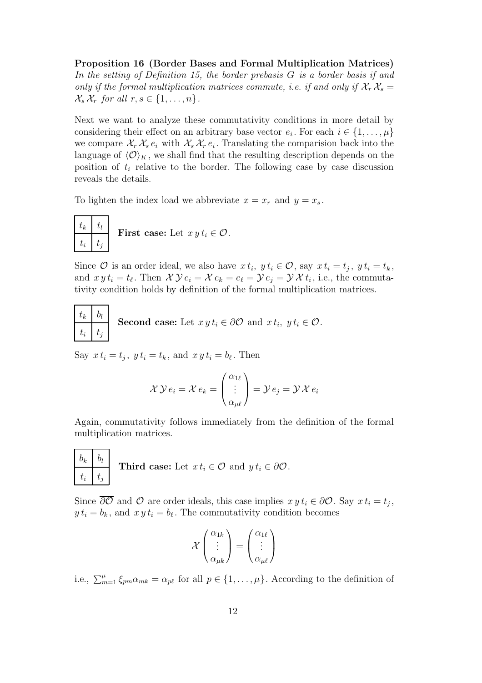Proposition 16 (Border Bases and Formal Multiplication Matrices) In the setting of Definition 15, the border prebasis G is a border basis if and only if the formal multiplication matrices commute, i.e. if and only if  $\mathcal{X}_r \mathcal{X}_s =$  $\mathcal{X}_{s} \mathcal{X}_{r}$  for all  $r, s \in \{1, \ldots, n\}$ .

Next we want to analyze these commutativity conditions in more detail by considering their effect on an arbitrary base vector  $e_i$ . For each  $i \in \{1, \ldots, \mu\}$ we compare  $\mathcal{X}_r \mathcal{X}_s e_i$  with  $\mathcal{X}_s \mathcal{X}_r e_i$ . Translating the comparision back into the language of  $\langle \mathcal{O} \rangle_K$ , we shall find that the resulting description depends on the position of  $t_i$  relative to the border. The following case by case discussion reveals the details.

To lighten the index load we abbreviate  $x = x_r$  and  $y = x_s$ .



Since  $O$  is an order ideal, we also have  $x t_i, y t_i \in O$ , say  $x t_i = t_j, y t_i = t_k$ , and  $x y t_i = t_\ell$ . Then  $\mathcal{X} \mathcal{Y} e_i = \mathcal{X} e_k = e_\ell = \mathcal{Y} e_j = \mathcal{Y} \mathcal{X} t_i$ , i.e., the commutativity condition holds by definition of the formal multiplication matrices.



Say  $x t_i = t_j$ ,  $y t_i = t_k$ , and  $x y t_i = b_\ell$ . Then

$$
\mathcal{X} \mathcal{Y} e_i = \mathcal{X} e_k = \begin{pmatrix} \alpha_{1\ell} \\ \vdots \\ \alpha_{\mu\ell} \end{pmatrix} = \mathcal{Y} e_j = \mathcal{Y} \mathcal{X} e_i
$$

Again, commutativity follows immediately from the definition of the formal multiplication matrices.

$$
\begin{array}{|c|c|c|c|}\n\hline\nb_k & b_l \\
\hline\nt_i & t_j\n\end{array}\n\text{Third case: Let } xt_i \in \mathcal{O} \text{ and } yt_i \in \partial \mathcal{O}.
$$

Since  $\partial O$  and  $O$  are order ideals, this case implies  $x y t_i \in \partial O$ . Say  $x t_i = t_j$ ,  $y t_i = b_k$ , and  $x y t_i = b_\ell$ . The commutativity condition becomes

$$
\mathcal{X}\begin{pmatrix} \alpha_{1k} \\ \vdots \\ \alpha_{\mu k} \end{pmatrix} = \begin{pmatrix} \alpha_{1\ell} \\ \vdots \\ \alpha_{\mu\ell} \end{pmatrix}
$$

i.e.,  $\sum_{m=1}^{\mu} \xi_{pm} \alpha_{mk} = \alpha_{p\ell}$  for all  $p \in \{1, \ldots, \mu\}$ . According to the definition of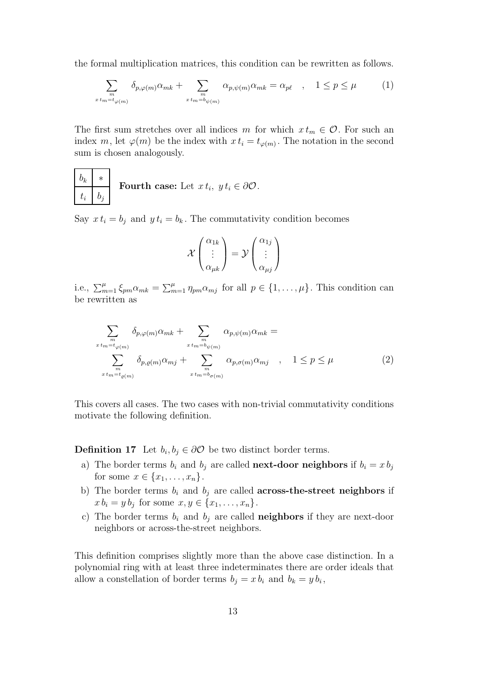the formal multiplication matrices, this condition can be rewritten as follows.

$$
\sum_{\substack{m \ x \, t_m = t_{\varphi(m)}}} \delta_{p,\varphi(m)} \alpha_{mk} + \sum_{\substack{m \ x \, t_m = b_{\psi(m)}}} \alpha_{p,\psi(m)} \alpha_{mk} = \alpha_{p\ell} \quad , \quad 1 \le p \le \mu \tag{1}
$$

The first sum stretches over all indices m for which  $x t_m \in \mathcal{O}$ . For such an index m, let  $\varphi(m)$  be the index with  $x t_i = t_{\varphi(m)}$ . The notation in the second sum is chosen analogously.



Say  $x t_i = b_j$  and  $y t_i = b_k$ . The commutativity condition becomes

$$
\mathcal{X}\begin{pmatrix} \alpha_{1k} \\ \vdots \\ \alpha_{\mu k} \end{pmatrix} = \mathcal{Y}\begin{pmatrix} \alpha_{1j} \\ \vdots \\ \alpha_{\mu j} \end{pmatrix}
$$

i.e.,  $\sum_{m=1}^{\mu} \xi_{pm} \alpha_{mk} = \sum_{m=1}^{\mu} \eta_{pm} \alpha_{mj}$  for all  $p \in \{1, \ldots, \mu\}$ . This condition can be rewritten as

$$
\sum_{\substack{m \ x \, t_m = t_{\varphi(m)}}} \delta_{p,\varphi(m)} \alpha_{mk} + \sum_{\substack{m \ x \, t_m = b_{\psi(m)}}} \alpha_{p,\psi(m)} \alpha_{mk} = \sum_{\substack{x \, t_m = b_{\psi(m)}}} \delta_{p,\varrho(m)} \alpha_{mj} + \sum_{\substack{m \ x \, t_m = t_{\varrho(m)}}} \alpha_{p,\sigma(m)} \alpha_{mj} , \quad 1 \le p \le \mu
$$
\n
$$
(2)
$$

This covers all cases. The two cases with non-trivial commutativity conditions motivate the following definition.

**Definition 17** Let  $b_i, b_j \in \partial \mathcal{O}$  be two distinct border terms.

- a) The border terms  $b_i$  and  $b_j$  are called **next-door neighbors** if  $b_i = x b_j$ for some  $x \in \{x_1, \ldots, x_n\}$ .
- b) The border terms  $b_i$  and  $b_j$  are called **across-the-street neighbors** if  $x b_i = y b_j$  for some  $x, y \in \{x_1, \ldots, x_n\}$ .
- c) The border terms  $b_i$  and  $b_j$  are called **neighbors** if they are next-door neighbors or across-the-street neighbors.

This definition comprises slightly more than the above case distinction. In a polynomial ring with at least three indeterminates there are order ideals that allow a constellation of border terms  $b_j = x b_i$  and  $b_k = y b_i$ ,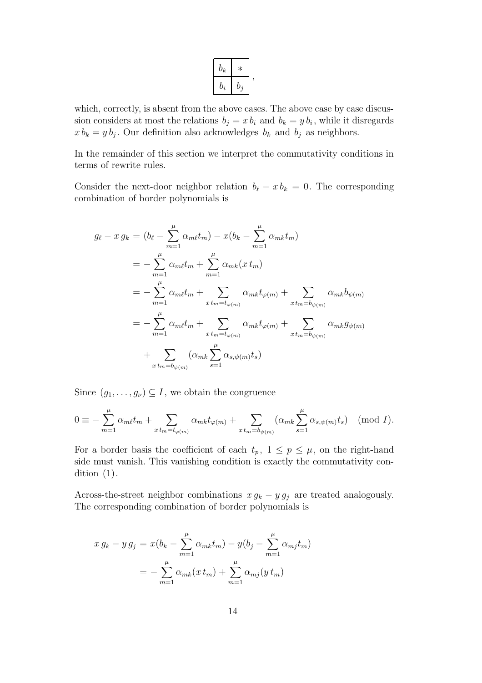| $b_k$ | $^\ast$ |  |
|-------|---------|--|
| $b_i$ | $b_i$   |  |

which, correctly, is absent from the above cases. The above case by case discussion considers at most the relations  $b_j = x b_i$  and  $b_k = y b_i$ , while it disregards  $x b_k = y b_j$ . Our definition also acknowledges  $b_k$  and  $b_j$  as neighbors.

In the remainder of this section we interpret the commutativity conditions in terms of rewrite rules.

Consider the next-door neighbor relation  $b_\ell - x b_k = 0$ . The corresponding combination of border polynomials is

$$
g_{\ell} - x g_{k} = (b_{\ell} - \sum_{m=1}^{\mu} \alpha_{m\ell} t_{m}) - x(b_{k} - \sum_{m=1}^{\mu} \alpha_{mk} t_{m})
$$
  
\n
$$
= - \sum_{m=1}^{\mu} \alpha_{m\ell} t_{m} + \sum_{m=1}^{\mu} \alpha_{mk} (x t_{m})
$$
  
\n
$$
= - \sum_{m=1}^{\mu} \alpha_{m\ell} t_{m} + \sum_{x t_{m} = t_{\varphi(m)}} \alpha_{mk} t_{\varphi(m)} + \sum_{x t_{m} = b_{\psi(m)}} \alpha_{mk} b_{\psi(m)}
$$
  
\n
$$
= - \sum_{m=1}^{\mu} \alpha_{m\ell} t_{m} + \sum_{x t_{m} = t_{\varphi(m)}} \alpha_{mk} t_{\varphi(m)} + \sum_{x t_{m} = b_{\psi(m)}} \alpha_{mk} g_{\psi(m)}
$$
  
\n
$$
+ \sum_{x t_{m} = b_{\psi(m)}} (\alpha_{mk} \sum_{s=1}^{\mu} \alpha_{s,\psi(m)} t_{s})
$$

Since  $(g_1, \ldots, g_\nu) \subseteq I$ , we obtain the congruence

$$
0 \equiv -\sum_{m=1}^{\mu} \alpha_m \ell_m + \sum_{x \ell_m = t_{\varphi(m)}} \alpha_{mk} t_{\varphi(m)} + \sum_{x \ell_m = b_{\psi(m)}} (\alpha_{mk} \sum_{s=1}^{\mu} \alpha_{s, \psi(m)} t_s) \pmod{I}.
$$

For a border basis the coefficient of each  $t_p$ ,  $1 \leq p \leq \mu$ , on the right-hand side must vanish. This vanishing condition is exactly the commutativity condition  $(1)$ .

Across-the-street neighbor combinations  $x g_k - y g_j$  are treated analogously. The corresponding combination of border polynomials is

$$
x g_k - y g_j = x(b_k - \sum_{m=1}^{\mu} \alpha_{mk} t_m) - y(b_j - \sum_{m=1}^{\mu} \alpha_{mj} t_m)
$$
  
= 
$$
-\sum_{m=1}^{\mu} \alpha_{mk} (x t_m) + \sum_{m=1}^{\mu} \alpha_{mj} (y t_m)
$$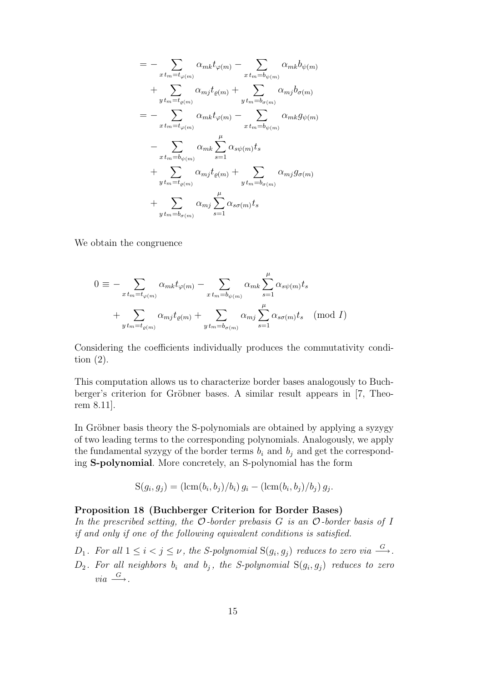$$
= - \sum_{x \, t_m = t_{\varphi(m)}} \alpha_{mk} t_{\varphi(m)} - \sum_{x \, t_m = b_{\psi(m)}} \alpha_{mk} b_{\psi(m)}
$$
  
+ 
$$
\sum_{y \, t_m = t_{\varrho(m)}} \alpha_{mj} t_{\varrho(m)} + \sum_{y \, t_m = b_{\sigma(m)}} \alpha_{mj} b_{\sigma(m)}
$$
  
= 
$$
- \sum_{x \, t_m = t_{\varphi(m)}} \alpha_{mk} t_{\varphi(m)} - \sum_{x \, t_m = b_{\psi(m)}} \alpha_{mk} g_{\psi(m)}
$$
  
- 
$$
- \sum_{x \, t_m = b_{\psi(m)}} \alpha_{mk} \sum_{s=1}^{\mu} \alpha_{s\psi(m)} t_s
$$
  
+ 
$$
\sum_{y \, t_m = t_{\varrho(m)}} \alpha_{mj} t_{\varrho(m)} + \sum_{y \, t_m = b_{\sigma(m)}} \alpha_{mj} g_{\sigma(m)}
$$
  
+ 
$$
\sum_{y \, t_m = b_{\sigma(m)}} \alpha_{mj} \sum_{s=1}^{\mu} \alpha_{s\sigma(m)} t_s
$$

We obtain the congruence

$$
0 \equiv -\sum_{x t_m = t_{\varphi(m)}} \alpha_{mk} t_{\varphi(m)} - \sum_{x t_m = b_{\psi(m)}} \alpha_{mk} \sum_{s=1}^{\mu} \alpha_{s\psi(m)} t_s
$$

$$
+ \sum_{y t_m = t_{\varrho(m)}} \alpha_{mj} t_{\varrho(m)} + \sum_{y t_m = b_{\sigma(m)}} \alpha_{mj} \sum_{s=1}^{\mu} \alpha_{s\sigma(m)} t_s \pmod{I}
$$

Considering the coefficients individually produces the commutativity condition (2).

This computation allows us to characterize border bases analogously to Buchberger's criterion for Gröbner bases. A similar result appears in [7, Theorem 8.11].

In Gröbner basis theory the S-polynomials are obtained by applying a syzygy of two leading terms to the corresponding polynomials. Analogously, we apply the fundamental syzygy of the border terms  $b_i$  and  $b_j$  and get the corresponding S-polynomial. More concretely, an S-polynomial has the form

$$
S(g_i, g_j) = (\text{lcm}(b_i, b_j)/b_i) g_i - (\text{lcm}(b_i, b_j)/b_j) g_j.
$$

## Proposition 18 (Buchberger Criterion for Border Bases)

In the prescribed setting, the  $\mathcal O$ -border prebasis G is an  $\mathcal O$ -border basis of I if and only if one of the following equivalent conditions is satisfied.

 $D_1$ . For all  $1 \leq i < j \leq \nu$ , the S-polynomial  $S(g_i, g_j)$  reduces to zero via  $\stackrel{G}{\longrightarrow}$ .  $D_2$ . For all neighbors  $b_i$  and  $b_j$ , the S-polynomial  $S(g_i, g_j)$  reduces to zero via  $\stackrel{G}{\longrightarrow}$ .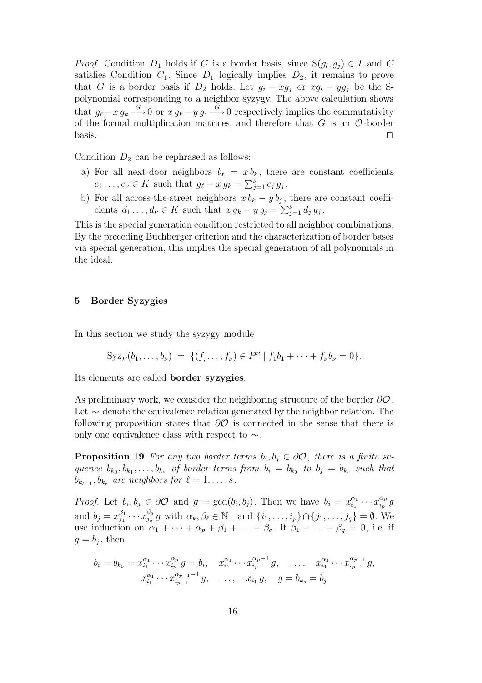*Proof.* Condition  $D_1$  holds if G is a border basis, since  $S(g_i, g_j) \in I$  and G satisfies Condition  $C_1$ . Since  $D_1$  logically implies  $D_2$ , it remains to prove that G is a border basis if  $D_2$  holds. Let  $g_i - xg_j$  or  $xg_i - yg_j$  be the Spolynomial corresponding to a neighbor syzygy. The above calculation shows that  $g_{\ell}-x g_k \stackrel{G}{\longrightarrow} 0$  or  $x g_k -y g_j \stackrel{G}{\longrightarrow} 0$  respectively implies the commutativity of the formal multiplication matrices, and therefore that  $G$  is an  $\mathcal{O}\text{-border}$ basis.  $\square$ 

Condition  $D_2$  can be rephrased as follows:

- a) For all next-door neighbors  $b_\ell = x b_k$ , there are constant coefficients  $c_1 \ldots, c_{\nu} \in K$  such that  $g_{\ell} - x g_k = \sum_{j=1}^{\nu} c_j g_j$ .
- b) For all across-the-street neighbors  $x b_k y b_j$ , there are constant coefficients  $d_1 \dots, d_\nu \in K$  such that  $x g_k - y g_j = \sum_{j=1}^\nu d_j g_j$ .

This is the special generation condition restricted to all neighbor combinations. By the preceding Buchberger criterion and the characterization of border bases via special generation, this implies the special generation of all polynomials in the ideal.

### 5 Border Syzygies

In this section we study the syzygy module

$$
Syz_P(b_1,\ldots,b_\nu) = \{ (f_1,\ldots,f_\nu) \in P^\nu \mid f_1b_1 + \cdots + f_\nu b_\nu = 0 \}.
$$

Its elements are called border syzygies.

As preliminary work, we consider the neighboring structure of the border  $\partial \mathcal{O}$ . Let ∼ denote the equivalence relation generated by the neighbor relation. The following proposition states that  $\partial\mathcal{O}$  is connected in the sense that there is only one equivalence class with respect to ∼.

**Proposition 19** For any two border terms  $b_i, b_j \in \partial\mathcal{O}$ , there is a finite sequence  $b_{k_0}, b_{k_1}, \ldots, b_{k_s}$  of border terms from  $b_i = b_{k_0}$  to  $b_j = b_{k_s}$  such that  $b_{k_{\ell-1}}, b_{k_{\ell}}$  are neighbors for  $\ell = 1, \ldots, s$ .

*Proof.* Let  $b_i, b_j \in \partial \mathcal{O}$  and  $g = \gcd(b_i, b_j)$ . Then we have  $b_i = x_{i_1}^{\alpha_1}$  $\frac{\alpha_1}{i_1} \cdots x_{i_p}^{\alpha_p}$  $\frac{\alpha_p}{i_p}\,g$ and  $b_j = x_{j_1}^{\beta_1}$  $\frac{\beta_1}{j_1}\cdots x_{j_q}^{\beta_q}$  $j_q^q g$  with  $\alpha_k, \beta_\ell \in \mathbb{N}_+$  and  $\{i_1, \ldots, i_p\} \cap \{j_1, \ldots, j_q\} = \emptyset$ . We use induction on  $\alpha_1 + \cdots + \alpha_p + \beta_1 + \ldots + \beta_q$ . If  $\beta_1 + \ldots + \beta_q = 0$ , i.e. if  $g = b_j$ , then

$$
b_i = b_{k_0} = x_{i_1}^{\alpha_1} \cdots x_{i_p}^{\alpha_p} g = b_i, \quad x_{i_1}^{\alpha_1} \cdots x_{i_p}^{\alpha_p - 1} g, \quad \ldots, \quad x_{i_1}^{\alpha_1} \cdots x_{i_{p-1}}^{\alpha_{p-1}} g,
$$

$$
x_{i_1}^{\alpha_1} \cdots x_{i_{p-1}}^{\alpha_{p-1} - 1} g, \quad \ldots, \quad x_{i_1} g, \quad g = b_{k_s} = b_j
$$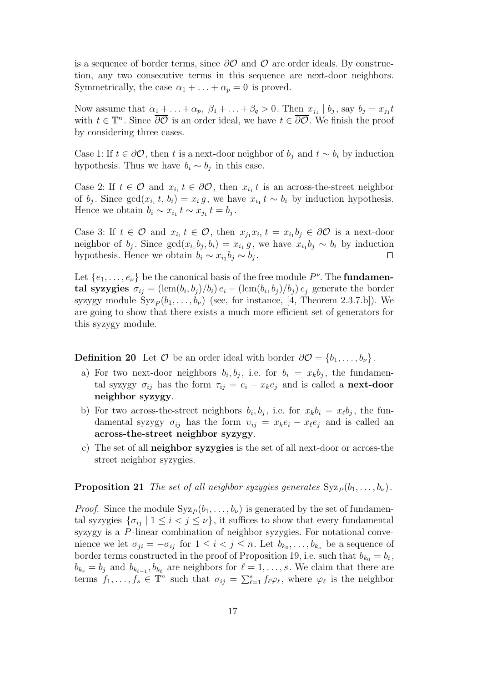is a sequence of border terms, since  $\overline{\partial\mathcal{O}}$  and  $\mathcal O$  are order ideals. By construction, any two consecutive terms in this sequence are next-door neighbors. Symmetrically, the case  $\alpha_1 + \ldots + \alpha_p = 0$  is proved.

Now assume that  $\alpha_1 + \ldots + \alpha_p$ ,  $\beta_1 + \ldots + \beta_q > 0$ . Then  $x_{j_1} \mid b_j$ , say  $b_j = x_{j_1}t$ with  $t \in \mathbb{T}^n$ . Since  $\overline{\partial \mathcal{O}}$  is an order ideal, we have  $t \in \overline{\partial \mathcal{O}}$ . We finish the proof by considering three cases.

Case 1: If  $t \in \partial \mathcal{O}$ , then t is a next-door neighbor of  $b_j$  and  $t \sim b_i$  by induction hypothesis. Thus we have  $b_i \sim b_j$  in this case.

Case 2: If  $t \in \mathcal{O}$  and  $x_{i_1} t \in \partial \mathcal{O}$ , then  $x_{i_1} t$  is an across-the-street neighbor of  $b_j$ . Since  $gcd(x_{i_1} t, b_i) = x_i g$ , we have  $x_{i_1} t \sim b_i$  by induction hypothesis. Hence we obtain  $b_i \sim x_{i_1} t \sim x_{j_1} t = b_j$ .

Case 3: If  $t \in \mathcal{O}$  and  $x_{i_1} t \in \mathcal{O}$ , then  $x_{j_1} x_{i_1} t = x_{i_1} b_j \in \partial \mathcal{O}$  is a next-door neighbor of  $b_j$ . Since  $gcd(x_{i_1}b_j, b_i) = x_{i_1}g$ , we have  $x_{i_1}b_j \sim b_i$  by induction hypothesis. Hence we obtain  $b_i \sim x_{i_1} b_j \sim b_j$ . The contract of the contract of  $\Box$ 

Let  $\{e_1, \ldots, e_{\nu}\}\)$  be the canonical basis of the free module  $P^{\nu}$ . The **fundamen**tal syzygies  $\sigma_{ij} = (\text{lcm}(b_i, b_j)/b_i) e_i - (\text{lcm}(b_i, b_j)/b_j) e_j$  generate the border syzygy module  $Syz_P(b_1, \ldots, b_\nu)$  (see, for instance, [4, Theorem 2.3.7.b]). We are going to show that there exists a much more efficient set of generators for this syzygy module.

**Definition 20** Let  $\mathcal{O}$  be an order ideal with border  $\partial \mathcal{O} = \{b_1, \ldots, b_\nu\}.$ 

- a) For two next-door neighbors  $b_i, b_j$ , i.e. for  $b_i = x_k b_j$ , the fundamental syzygy  $\sigma_{ij}$  has the form  $\tau_{ij} = e_i - x_k e_j$  and is called a **next-door** neighbor syzygy.
- b) For two across-the-street neighbors  $b_i, b_j$ , i.e. for  $x_k b_i = x_\ell b_j$ , the fundamental syzygy  $\sigma_{ij}$  has the form  $v_{ij} = x_k e_i - x_\ell e_j$  and is called an across-the-street neighbor syzygy.
- c) The set of all neighbor syzygies is the set of all next-door or across-the street neighbor syzygies.

**Proposition 21** The set of all neighbor syzygies generates  $Syz_P(b_1, \ldots, b_\nu)$ .

*Proof.* Since the module  $Syz_P(b_1, \ldots, b_\nu)$  is generated by the set of fundamental syzygies  $\{\sigma_{ii} \mid 1 \leq i \leq j \leq \nu\}$ , it suffices to show that every fundamental syzygy is a P -linear combination of neighbor syzygies. For notational convenience we let  $\sigma_{ji} = -\sigma_{ij}$  for  $1 \leq i < j \leq n$ . Let  $b_{k_0}, \ldots, b_{k_s}$  be a sequence of border terms constructed in the proof of Proposition 19, i.e. such that  $b_{k_0} = b_i$ ,  $b_{k_s} = b_j$  and  $b_{k_{\ell-1}}, b_{k_{\ell}}$  are neighbors for  $\ell = 1, \ldots, s$ . We claim that there are terms  $f_1, \ldots, f_s \in \mathbb{T}^n$  such that  $\sigma_{ij} = \sum_{\ell=1}^s f_\ell \varphi_\ell$ , where  $\varphi_\ell$  is the neighbor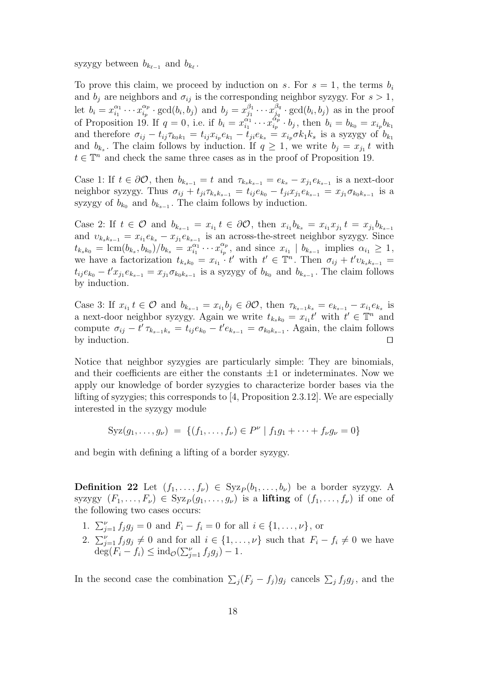syzygy between  $b_{k_{\ell-1}}$  and  $b_{k_{\ell}}$ .

To prove this claim, we proceed by induction on s. For  $s = 1$ , the terms  $b_i$ and  $b_j$  are neighbors and  $\sigma_{ij}$  is the corresponding neighbor syzygy. For  $s > 1$ , let  $b_i = x_{i_1}^{\alpha_1}$  $\frac{\alpha_1}{i_1} \cdots x_{i_p}^{\alpha_p}$  $\frac{\alpha_p}{i_p} \cdot \gcd(b_i, b_j)$  and  $b_j = x_{j_1}^{\beta_1}$  $\frac{\beta_1}{j_1}\cdots x_{j_q}^{\beta_q}$  $j_q^{\rho_q} \cdot \gcd(b_i, b_j)$  as in the proof of Proposition 19. If  $q=0$ , i.e. if  $b_i = x_{i_1}^{\alpha_1}$  $\alpha_1 \atop i_1 \cdots x_{i_p}^{\alpha_p}$  $\frac{\alpha_p}{a_p} \cdot b_j$ , then  $b_i = b_{k_0} = x_{i_p} b_{k_1}$ and therefore  $\sigma_{ij} - t_{ij} \tau_{k_0 k_1} = t_{ij} x_{i_p} e_{k_1} - t_{ji} e_{k_s} = x_{i_p} \sigma k_1 k_s$  is a syzygy of  $b_{k_1}$ and  $b_{k_s}$ . The claim follows by induction. If  $q \geq 1$ , we write  $b_j = x_{j_1} t$  with  $t \in \mathbb{T}^n$  and check the same three cases as in the proof of Proposition 19.

Case 1: If  $t \in \partial\mathcal{O}$ , then  $b_{k_{s-1}} = t$  and  $\tau_{k_{s}} k_{s-1} = e_{k_{s}} - x_{j_{1}} e_{k_{s-1}}$  is a next-door neighbor syzygy. Thus  $\sigma_{ij} + t_{ji}\tau_{ksk_{s-1}} = t_{ij}e_{k_0} - t_{ji}x_{j_1}e_{k_{s-1}} = x_{j_1}\sigma_{k_0k_{s-1}}$  is a syzygy of  $b_{k_0}$  and  $b_{k_{s-1}}$ . The claim follows by induction.

Case 2: If  $t \in \mathcal{O}$  and  $b_{k_{s-1}} = x_{i_1} t \in \partial \mathcal{O}$ , then  $x_{i_1} b_{k_s} = x_{i_1} x_{j_1} t = x_{j_1} b_{k_{s-1}}$ and  $v_{k_s k_{s-1}} = x_{i_1} e_{k_s} - x_{j_1} e_{k_{s-1}}$  is an across-the-street neighbor syzygy. Since  $t_{k_s k_0} = \text{lcm}(b_{k_s}, b_{k_0})/b_{k_s} = x_{i_1}^{\alpha_1}$  $\overline{\alpha_1\atop i_1}\cdots\overline{x}_{i_p}^{\alpha_p}$  $\frac{\alpha_p}{i_p}$ , and since  $x_{i_1} \mid b_{k_{s-1}}$  implies  $\alpha_{i_1} \geq 1$ , we have a factorization  $t_{k_sk_0} = x_{i_1} \cdot t'$  with  $t' \in \mathbb{T}^n$ . Then  $\sigma_{ij} + t'v_{k_sk_{s-1}} =$  $t_{ij}e_{k_0} - t'x_{j_1}e_{k_{s-1}} = x_{j_1}\sigma_{k_0k_{s-1}}$  is a syzygy of  $b_{k_0}$  and  $b_{k_{s-1}}$ . The claim follows by induction.

Case 3: If  $x_{i_1} t \in \mathcal{O}$  and  $b_{k_{s-1}} = x_{i_1} b_j \in \partial \mathcal{O}$ , then  $\tau_{k_{s-1}k_s} = e_{k_{s-1}} - x_{i_1} e_{k_s}$  is a next-door neighbor syzygy. Again we write  $t_{k_s k_0} = x_{i_1} t'$  with  $t' \in \mathbb{T}^n$  and compute  $\sigma_{ij} - t' \tau_{k_{s-1}k_s} = t_{ij}e_{k_0} - t'e_{k_{s-1}} = \sigma_{k_0k_{s-1}}$ . Again, the claim follows by induction.  $\Box$ 

Notice that neighbor syzygies are particularly simple: They are binomials, and their coefficients are either the constants  $\pm 1$  or indeterminates. Now we apply our knowledge of border syzygies to characterize border bases via the lifting of syzygies; this corresponds to [4, Proposition 2.3.12]. We are especially interested in the syzygy module

$$
Syz(g_1,...,g_\nu) = \{ (f_1,...,f_\nu) \in P^\nu \mid f_1g_1 + \cdots + f_\nu g_\nu = 0 \}
$$

and begin with defining a lifting of a border syzygy.

**Definition 22** Let  $(f_1, \ldots, f_\nu) \in Syz_P(b_1, \ldots, b_\nu)$  be a border syzygy. A syzygy  $(F_1, \ldots, F_\nu) \in Syz_P(g_1, \ldots, g_\nu)$  is a **lifting** of  $(f_1, \ldots, f_\nu)$  if one of the following two cases occurs:

- 1.  $\sum_{j=1}^{\nu} f_j g_j = 0$  and  $F_i f_i = 0$  for all  $i \in \{1, ..., \nu\}$ , or
- 2.  $\sum_{j=1}^{\nu} f_j g_j \neq 0$  and for all  $i \in \{1, \ldots, \nu\}$  such that  $F_i f_i \neq 0$  we have  $deg(F_i - f_i) \leq ind_{\mathcal{O}}(\sum_{j=1}^{\nu} f_j g_j) - 1.$

In the second case the combination  $\sum_j (F_j - f_j)g_j$  cancels  $\sum_j f_j g_j$ , and the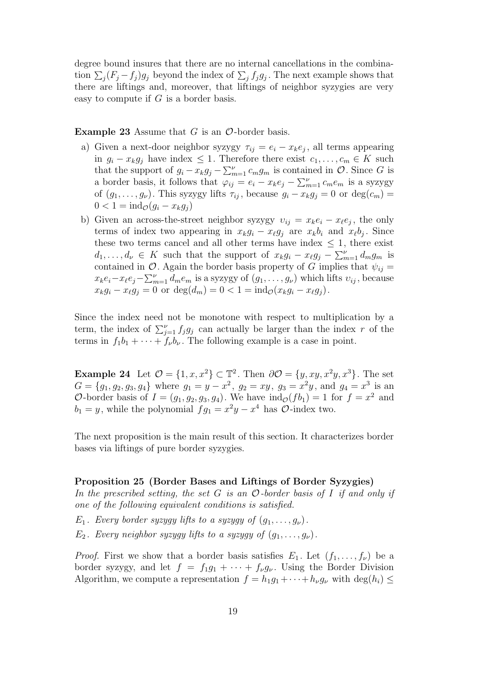degree bound insures that there are no internal cancellations in the combination  $\sum_j (F_j - f_j)g_j$  beyond the index of  $\sum_j f_j g_j$ . The next example shows that there are liftings and, moreover, that liftings of neighbor syzygies are very easy to compute if  $G$  is a border basis.

**Example 23** Assume that  $G$  is an  $\mathcal{O}$ -border basis.

- a) Given a next-door neighbor syzygy  $\tau_{ij} = e_i x_k e_j$ , all terms appearing in  $g_i - x_k g_j$  have index  $\leq 1$ . Therefore there exist  $c_1, \ldots, c_m \in K$  such that the support of  $g_i - x_k g_j - \sum_{m=1}^{\nu} c_m g_m$  is contained in  $\mathcal{O}$ . Since G is a border basis, it follows that  $\varphi_{ij} = e_i - x_k e_j - \sum_{m=1}^{\nu} c_m e_m$  is a syzygy of  $(g_1, \ldots, g_\nu)$ . This syzygy lifts  $\tau_{ij}$ , because  $g_i - x_k g_j = 0$  or  $\deg(c_m) =$  $0 < 1 = \text{ind}_{\mathcal{O}}(g_i - x_k g_j)$
- b) Given an across-the-street neighbor syzygy  $v_{ij} = x_k e_i x_\ell e_j$ , the only terms of index two appearing in  $x_k g_i - x_\ell g_j$  are  $x_k b_i$  and  $x_\ell b_j$ . Since these two terms cancel and all other terms have index  $\leq 1$ , there exist  $d_1, \ldots, d_\nu \in K$  such that the support of  $x_k g_i - x_\ell g_j - \sum_{m=1}^\nu d_m g_m$  is contained in  $\mathcal O$ . Again the border basis property of G implies that  $\psi_{ij} =$  $x_k e_i - x_\ell e_j - \sum_{m=1}^{\nu} d_m e_m$  is a syzygy of  $(g_1, \ldots, g_\nu)$  which lifts  $v_{ij}$ , because  $x_k g_i - x_\ell g_j = 0$  or  $\deg(d_m) = 0 < 1 = \text{ind}_{\mathcal{O}}(x_k g_i - x_\ell g_j)$ .

Since the index need not be monotone with respect to multiplication by a term, the index of  $\sum_{j=1}^{\nu} f_j g_j$  can actually be larger than the index r of the terms in  $f_1b_1 + \cdots + f_\nu b_\nu$ . The following example is a case in point.

**Example 24** Let  $\mathcal{O} = \{1, x, x^2\} \subset \mathbb{T}^2$ . Then  $\partial \mathcal{O} = \{y, xy, x^2y, x^3\}$ . The set  $G = \{g_1, g_2, g_3, g_4\}$  where  $g_1 = y - x^2$ ,  $g_2 = xy$ ,  $g_3 = x^2y$ , and  $g_4 = x^3$  is an O-border basis of  $I = (g_1, g_2, g_3, g_4)$ . We have  $\text{ind}_{\mathcal{O}}(fb_1) = 1$  for  $f = x^2$  and  $b_1 = y$ , while the polynomial  $fg_1 = x^2y - x^4$  has  $\mathcal{O}\text{-index two.}$ 

The next proposition is the main result of this section. It characterizes border bases via liftings of pure border syzygies.

#### Proposition 25 (Border Bases and Liftings of Border Syzygies)

In the prescribed setting, the set G is an  $\mathcal O$ -border basis of I if and only if one of the following equivalent conditions is satisfied.

 $E_1$ . Every border syzygy lifts to a syzygy of  $(q_1, \ldots, q_\nu)$ .

 $E_2$ . Every neighbor syzygy lifts to a syzygy of  $(q_1, \ldots, q_\nu)$ .

*Proof.* First we show that a border basis satisfies  $E_1$ . Let  $(f_1, \ldots, f_\nu)$  be a border syzygy, and let  $f = f_1g_1 + \cdots + f_\nu g_\nu$ . Using the Border Division Algorithm, we compute a representation  $f = h_1g_1 + \cdots + h_\nu g_\nu$  with  $\deg(h_i) \leq$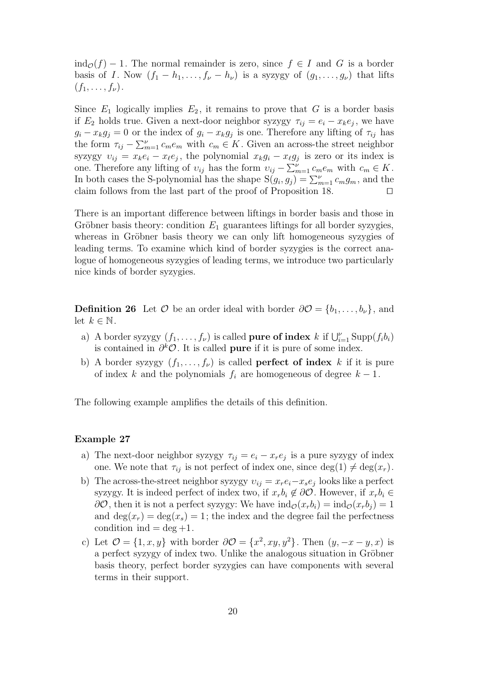$\text{ind}_{\mathcal{O}}(f) - 1$ . The normal remainder is zero, since  $f \in I$  and G is a border basis of I. Now  $(f_1 - h_1, \ldots, f_{\nu} - h_{\nu})$  is a syzygy of  $(g_1, \ldots, g_{\nu})$  that lifts  $(f_1,\ldots,f_{\nu}).$ 

Since  $E_1$  logically implies  $E_2$ , it remains to prove that G is a border basis if  $E_2$  holds true. Given a next-door neighbor syzygy  $\tau_{ij} = e_i - x_k e_j$ , we have  $g_i - x_k g_j = 0$  or the index of  $g_i - x_k g_j$  is one. Therefore any lifting of  $\tau_{ij}$  has the form  $\tau_{ij} - \sum_{m=1}^{\nu} c_m e_m$  with  $c_m \in K$ . Given an across-the street neighbor syzygy  $v_{ij} = x_k e_i - x_\ell e_j$ , the polynomial  $x_k g_i - x_\ell g_j$  is zero or its index is one. Therefore any lifting of  $v_{ij}$  has the form  $v_{ij} - \sum_{m=1}^{V} c_m e_m$  with  $c_m \in K$ . In both cases the S-polynomial has the shape  $S(g_i, g_j) = \sum_{m=1}^{\nu} c_m g_m$ , and the claim follows from the last part of the proof of Proposition 18.

There is an important difference between liftings in border basis and those in Gröbner basis theory: condition  $E_1$  guarantees liftings for all border syzygies, whereas in Gröbner basis theory we can only lift homogeneous syzygies of leading terms. To examine which kind of border syzygies is the correct analogue of homogeneous syzygies of leading terms, we introduce two particularly nice kinds of border syzygies.

**Definition 26** Let  $\mathcal{O}$  be an order ideal with border  $\partial \mathcal{O} = \{b_1, \ldots, b_{\nu}\}\,$  and let  $k \in \mathbb{N}$ .

- a) A border syzygy  $(f_1, \ldots, f_\nu)$  is called **pure of index** k if  $\bigcup_{i=1}^{\nu} \text{Supp}(f_i b_i)$ is contained in  $\partial^k \mathcal{O}$ . It is called **pure** if it is pure of some index.
- b) A border syzygy  $(f_1, \ldots, f_\nu)$  is called **perfect of index** k if it is pure of index k and the polynomials  $f_i$  are homogeneous of degree  $k-1$ .

The following example amplifies the details of this definition.

# Example 27

- a) The next-door neighbor syzygy  $\tau_{ij} = e_i x_i e_j$  is a pure syzygy of index one. We note that  $\tau_{ij}$  is not perfect of index one, since  $\deg(1) \neq \deg(x_r)$ .
- b) The across-the-street neighbor syzygy  $v_{ij} = x_r e_i x_s e_j$  looks like a perfect syzygy. It is indeed perfect of index two, if  $x_rb_i \notin \partial \mathcal{O}$ . However, if  $x_rb_i \in \partial \mathcal{O}$  $\partial \mathcal{O}$ , then it is not a perfect syzygy: We have  $\text{ind}_{\mathcal{O}}(x_r b_i) = \text{ind}_{\mathcal{O}}(x_r b_i) = 1$ and  $\deg(x_r) = \deg(x_s) = 1$ ; the index and the degree fail the perfectness condition ind  $=\text{deg}+1$ .
- c) Let  $\mathcal{O} = \{1, x, y\}$  with border  $\partial \mathcal{O} = \{x^2, xy, y^2\}$ . Then  $(y, -x y, x)$  is a perfect syzygy of index two. Unlike the analogous situation in Gröbner basis theory, perfect border syzygies can have components with several terms in their support.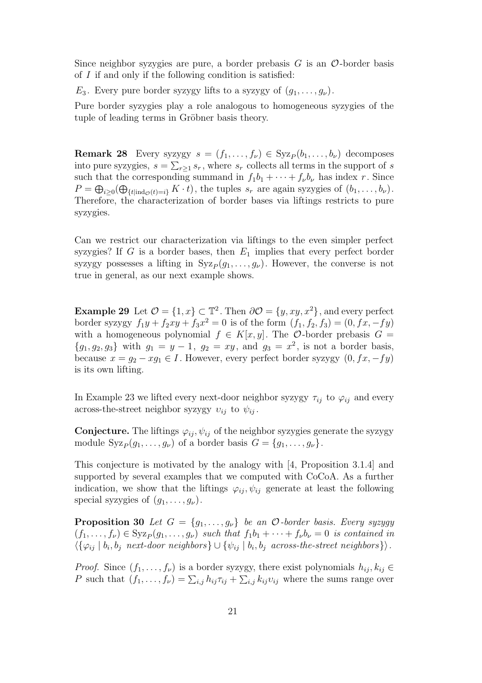Since neighbor syzygies are pure, a border prebasis  $G$  is an  $\mathcal{O}$ -border basis of I if and only if the following condition is satisfied:

 $E_3$ . Every pure border syzygy lifts to a syzygy of  $(g_1, \ldots, g_\nu)$ .

Pure border syzygies play a role analogous to homogeneous syzygies of the tuple of leading terms in Gröbner basis theory.

**Remark 28** Every syzygy  $s = (f_1, \ldots, f_\nu) \in Syz_P(b_1, \ldots, b_\nu)$  decomposes into pure syzygies,  $s = \sum_{r\geq 1} s_r$ , where  $s_r$  collects all terms in the support of s such that the corresponding summand in  $f_1b_1 + \cdots + f_\nu b_\nu$  has index r. Since  $P = \bigoplus_{i \geq 0} (\bigoplus_{\{t \mid \text{ind}_{\mathcal{O}}(t)=i\}} K \cdot t),$  the tuples  $s_r$  are again syzygies of  $(b_1, \ldots, b_\nu)$ . Therefore, the characterization of border bases via liftings restricts to pure syzygies.

Can we restrict our characterization via liftings to the even simpler perfect syzygies? If G is a border bases, then  $E_1$  implies that every perfect border syzygy possesses a lifting in  $Syz_P(g_1, \ldots, g_\nu)$ . However, the converse is not true in general, as our next example shows.

**Example 29** Let  $\mathcal{O} = \{1, x\} \subset \mathbb{T}^2$ . Then  $\partial \mathcal{O} = \{y, xy, x^2\}$ , and every perfect border syzygy  $f_1y + f_2xy + f_3x^2 = 0$  is of the form  $(f_1, f_2, f_3) = (0, fx, -fy)$ with a homogeneous polynomial  $f \in K[x, y]$ . The  $\mathcal{O}$ -border prebasis  $G =$  ${g_1, g_2, g_3}$  with  $g_1 = y - 1$ ,  $g_2 = xy$ , and  $g_3 = x^2$ , is not a border basis, because  $x = g_2 - xg_1 \in I$ . However, every perfect border syzygy  $(0, fx, -fy)$ is its own lifting.

In Example 23 we lifted every next-door neighbor syzygy  $\tau_{ij}$  to  $\varphi_{ij}$  and every across-the-street neighbor syzygy  $v_{ij}$  to  $\psi_{ij}$ .

**Conjecture.** The liftings  $\varphi_{ij}, \psi_{ij}$  of the neighbor syzygies generate the syzygy module  $Syz_P(g_1, \ldots, g_\nu)$  of a border basis  $G = \{g_1, \ldots, g_\nu\}$ .

This conjecture is motivated by the analogy with [4, Proposition 3.1.4] and supported by several examples that we computed with CoCoA. As a further indication, we show that the liftings  $\varphi_{ii}$ ,  $\psi_{ii}$  generate at least the following special syzygies of  $(g_1, \ldots, g_\nu)$ .

**Proposition 30** Let  $G = \{g_1, \ldots, g_\nu\}$  be an  $\mathcal O$ -border basis. Every syzygy  $(f_1, \ldots, f_\nu) \in \text{Syz}_P(g_1, \ldots, g_\nu)$  such that  $f_1b_1 + \cdots + f_\nu b_\nu = 0$  is contained in  $\langle \{\varphi_{ij} \mid b_i, b_j \text{ } \textit{next-down neighbors}\} \cup \{\psi_{ij} \mid b_i, b_j \text{ } \textit{across-the-street neighbors}\}\rangle.$ 

*Proof.* Since  $(f_1, \ldots, f_\nu)$  is a border syzygy, there exist polynomials  $h_{ij}, k_{ij} \in$ P such that  $(f_1, \ldots, f_\nu) = \sum_{i,j} h_{ij} \tau_{ij} + \sum_{i,j} k_{ij} \nu_{ij}$  where the sums range over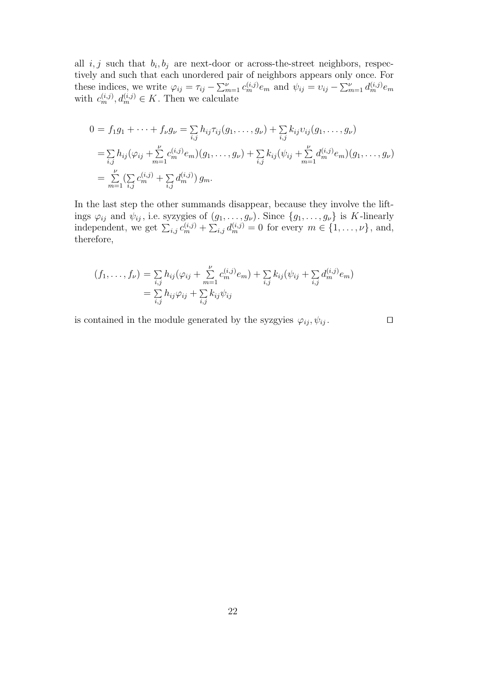all  $i, j$  such that  $b_i, b_j$  are next-door or across-the-street neighbors, respectively and such that each unordered pair of neighbors appears only once. For these indices, we write  $\varphi_{ij} = \tau_{ij} - \sum_{m=1}^{\nu} c_m^{(i,j)} e_m$  and  $\psi_{ij} = \psi_{ij} - \sum_{m=1}^{\nu} d_m^{(i,j)} e_m$ with  $c_m^{(i,j)}, d_m^{(i,j)} \in K$ . Then we calculate

$$
0 = f_1 g_1 + \dots + f_\nu g_\nu = \sum_{i,j} h_{ij} \tau_{ij} (g_1, \dots, g_\nu) + \sum_{i,j} k_{ij} \nu_{ij} (g_1, \dots, g_\nu)
$$
  
\n
$$
= \sum_{i,j} h_{ij} (\varphi_{ij} + \sum_{m=1}^\nu c_m^{(i,j)} e_m) (g_1, \dots, g_\nu) + \sum_{i,j} k_{ij} (\psi_{ij} + \sum_{m=1}^\nu d_m^{(i,j)} e_m) (g_1, \dots, g_\nu)
$$
  
\n
$$
= \sum_{m=1}^\nu (\sum_{i,j} c_m^{(i,j)} + \sum_{i,j} d_m^{(i,j)}) g_m.
$$

In the last step the other summands disappear, because they involve the liftings  $\varphi_{ij}$  and  $\psi_{ij}$ , i.e. syzygies of  $(g_1, \ldots, g_\nu)$ . Since  $\{g_1, \ldots, g_\nu\}$  is K-linearly independent, we get  $\sum_{i,j} c_m^{(i,j)} + \sum_{i,j} d_m^{(i,j)} = 0$  for every  $m \in \{1, \ldots, \nu\}$ , and, therefore,

$$
(f_1, \ldots, f_\nu) = \sum_{i,j} h_{ij} (\varphi_{ij} + \sum_{m=1}^{\nu} c_m^{(i,j)} e_m) + \sum_{i,j} k_{ij} (\psi_{ij} + \sum_{i,j} d_m^{(i,j)} e_m)
$$
  
= 
$$
\sum_{i,j} h_{ij} \varphi_{ij} + \sum_{i,j} k_{ij} \psi_{ij}
$$

is contained in the module generated by the syzgyies  $\varphi_{ij}, \psi_{ij}$ .